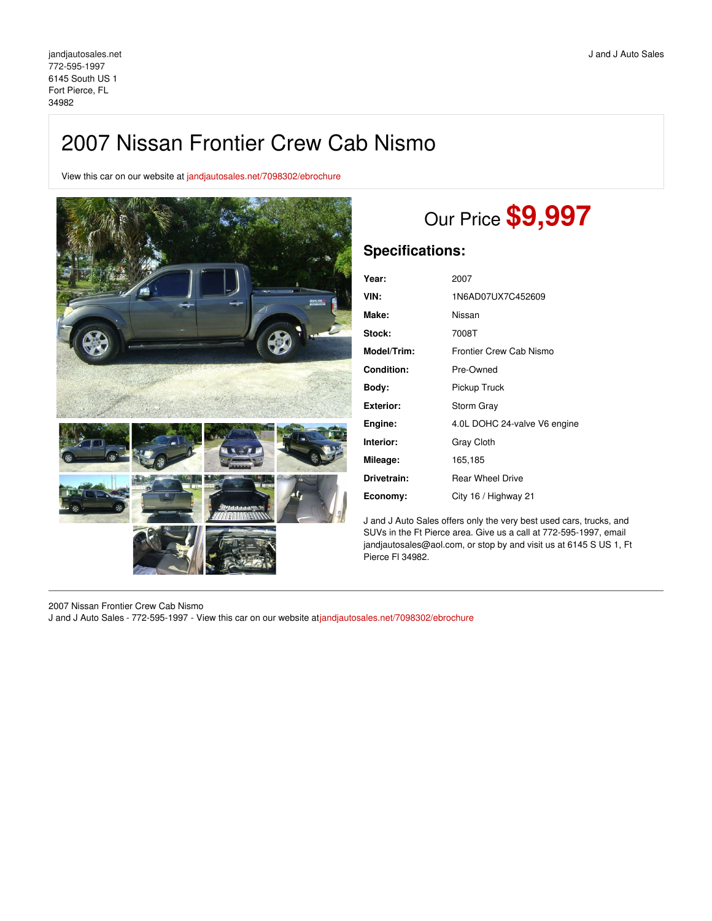# 2007 Nissan Frontier Crew Cab Nismo

View this car on our website at [jandjautosales.net/7098302/ebrochure](https://jandjautosales.net/vehicle/7098302/2007-nissan-frontier-crew-cab-nismo-fort-pierce-fl-34982/7098302/ebrochure)



# Our Price **\$9,997**

## **Specifications:**

| Year:              | 2007                         |
|--------------------|------------------------------|
| VIN:               | 1N6AD07UX7C452609            |
| Make:              | Nissan                       |
| <b>Stock:</b>      | 7008T                        |
| <b>Model/Trim:</b> | Frontier Crew Cab Nismo      |
| Condition:         | Pre-Owned                    |
| Body:              | Pickup Truck                 |
| Exterior:          | Storm Gray                   |
| Engine:            | 4.0L DOHC 24-valve V6 engine |
| Interior:          | <b>Gray Cloth</b>            |
| Mileage:           | 165,185                      |
| Drivetrain:        | <b>Rear Wheel Drive</b>      |
| Economy:           | City 16 / Highway 21         |

J and J Auto Sales offers only the very best used cars, trucks, and SUVs in the Ft Pierce area. Give us a call at 772-595-1997, email jandjautosales@aol.com, or stop by and visit us at 6145 S US 1, Ft Pierce Fl 34982.

2007 Nissan Frontier Crew Cab Nismo

J and J Auto Sales - 772-595-1997 - View this car on our website at[jandjautosales.net/7098302/ebrochure](https://jandjautosales.net/vehicle/7098302/2007-nissan-frontier-crew-cab-nismo-fort-pierce-fl-34982/7098302/ebrochure)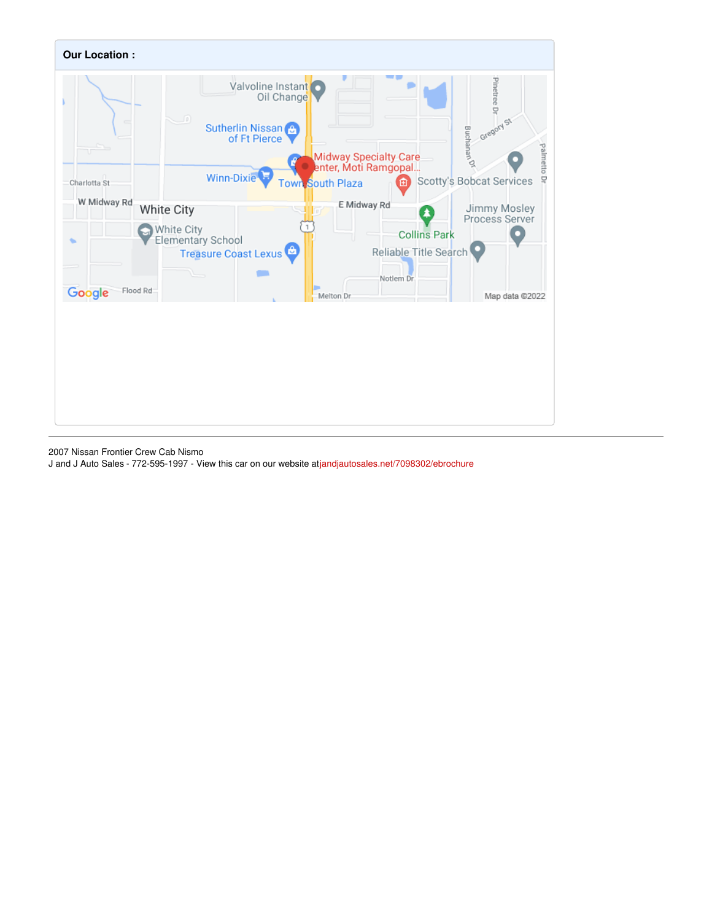

2007 Nissan Frontier Crew Cab Nismo

J and J Auto Sales - 772-595-1997 - View this car on our website at[jandjautosales.net/7098302/ebrochure](https://jandjautosales.net/vehicle/7098302/2007-nissan-frontier-crew-cab-nismo-fort-pierce-fl-34982/7098302/ebrochure)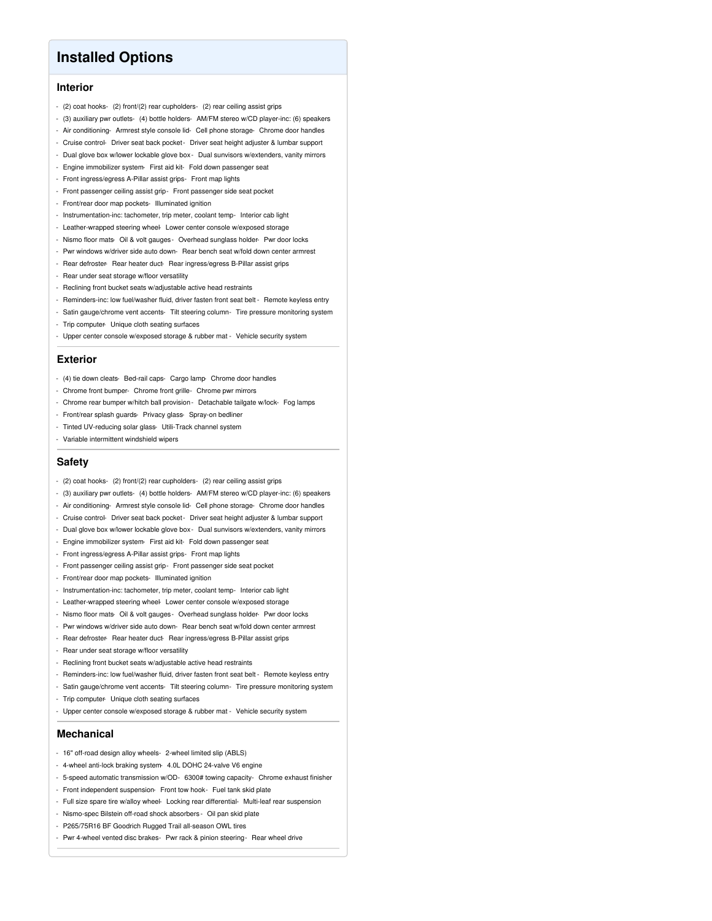## **Installed Options**

### **Interior**

- (2) coat hooks- (2) front/(2) rear cupholders- (2) rear ceiling assist grips
- (3) auxiliary pwr outlets- (4) bottle holders- AM/FM stereo w/CD player-inc: (6) speakers
- Air conditioning- Armrest style console lid- Cell phone storage- Chrome door handles
- Cruise control- Driver seat back pocket- Driver seat height adjuster & lumbar support
- Dual glove box w/lower lockable glove box Dual sunvisors w/extenders, vanity mirrors
- Engine immobilizer system- First aid kit- Fold down passenger seat
- Front ingress/egress A-Pillar assist grips- Front map lights
- Front passenger ceiling assist grip- Front passenger side seat pocket
- Front/rear door map pockets- Illuminated ignition
- Instrumentation-inc: tachometer, trip meter, coolant temp- Interior cab light
- Leather-wrapped steering wheel- Lower center console w/exposed storage
- Nismo floor mats- Oil & volt gauges Overhead sunglass holder- Pwr door locks
- Pwr windows w/driver side auto down- Rear bench seat w/fold down center armrest
- Rear defroster- Rear heater duct- Rear ingress/egress B-Pillar assist grips
- Rear under seat storage w/floor versatility
- Reclining front bucket seats w/adjustable active head restraints
- Reminders-inc: low fuel/washer fluid, driver fasten front seat belt Remote keyless entry
- Satin gauge/chrome vent accents- Tilt steering column- Tire pressure monitoring system
- Trip computer- Unique cloth seating surfaces
- Upper center console w/exposed storage & rubber mat Vehicle security system

#### **Exterior**

- (4) tie down cleats- Bed-rail caps- Cargo lamp- Chrome door handles
- Chrome front bumper- Chrome front grille- Chrome pwr mirrors
- Chrome rear bumper w/hitch ball provision Detachable tailgate w/lock- Fog lamps
- Front/rear splash guards- Privacy glass- Spray-on bedliner
- Tinted UV-reducing solar glass- Utili-Track channel system
- Variable intermittent windshield wipers

#### **Safety**

- (2) coat hooks- (2) front/(2) rear cupholders- (2) rear ceiling assist grips
- (3) auxiliary pwr outlets- (4) bottle holders- AM/FM stereo w/CD player-inc: (6) speakers
- Air conditioning- Armrest style console lid- Cell phone storage- Chrome door handles
- Cruise control- Driver seat back pocket- Driver seat height adjuster & lumbar support
- Dual glove box w/lower lockable glove box Dual sunvisors w/extenders, vanity mirrors
- Engine immobilizer system- First aid kit- Fold down passenger seat
- Front ingress/egress A-Pillar assist grips- Front map lights
- Front passenger ceiling assist grip- Front passenger side seat pocket
- Front/rear door map pockets- Illuminated ignition
- Instrumentation-inc: tachometer, trip meter, coolant temp- Interior cab light
- Leather-wrapped steering wheel- Lower center console w/exposed storage
- Nismo floor mats- Oil & volt gauges Overhead sunglass holder- Pwr door locks
- Pwr windows w/driver side auto down- Rear bench seat w/fold down center armrest
- Rear defroster- Rear heater duct- Rear ingress/egress B-Pillar assist grips
- Rear under seat storage w/floor versatility
- Reclining front bucket seats w/adjustable active head restraints
- Reminders-inc: low fuel/washer fluid, driver fasten front seat belt Remote keyless entry
- Satin gauge/chrome vent accents- Tilt steering column- Tire pressure monitoring system
- Trip computer- Unique cloth seating surfaces
- Upper center console w/exposed storage & rubber mat Vehicle security system

### **Mechanical**

- 16" off-road design alloy wheels- 2-wheel limited slip (ABLS)
- 4-wheel anti-lock braking system- 4.0L DOHC 24-valve V6 engine
- 5-speed automatic transmission w/OD- 6300# towing capacity- Chrome exhaust finisher
- Front independent suspension- Front tow hook- Fuel tank skid plate
- Full size spare tire w/alloy wheel- Locking rear differential- Multi-leaf rear suspension
- Nismo-spec Bilstein off-road shock absorbers Oil pan skid plate
- P265/75R16 BF Goodrich Rugged Trail all-season OWL tires
- Pwr 4-wheel vented disc brakes- Pwr rack & pinion steering- Rear wheel drive